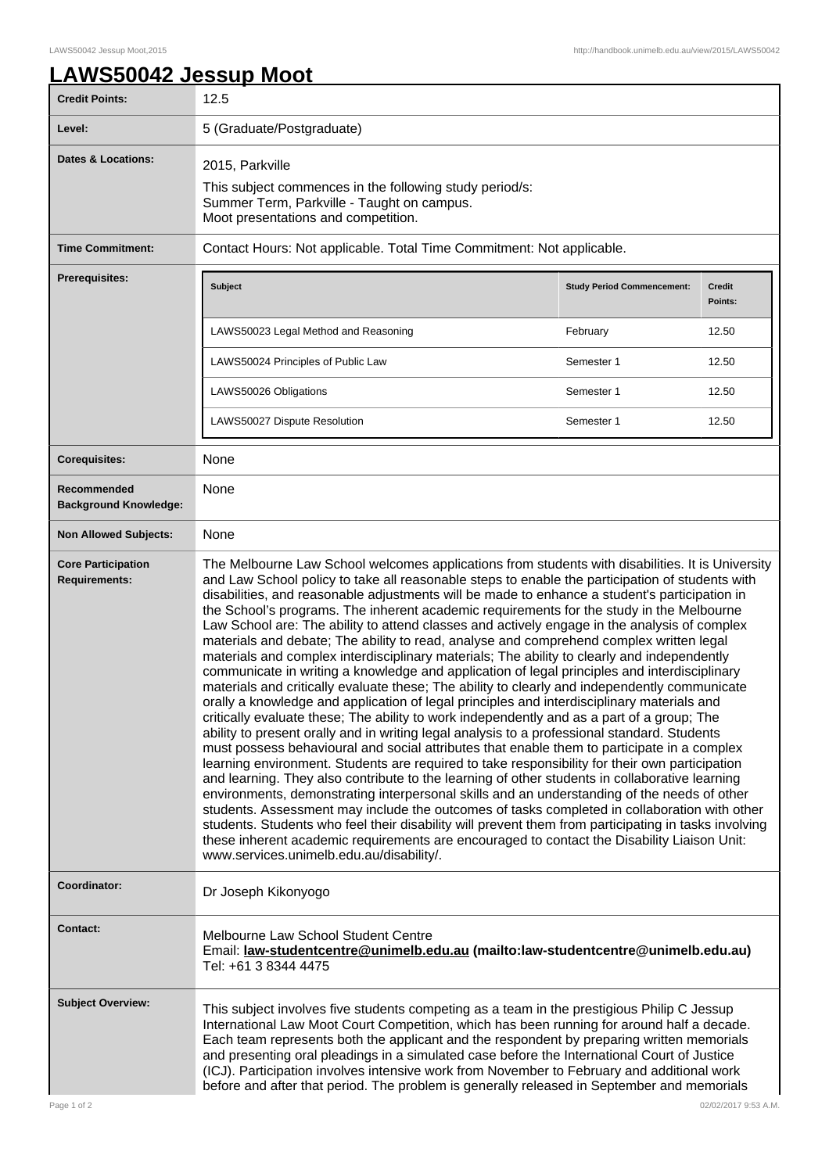٦

## **LAWS50042 Jessup Moot**

| <b>Credit Points:</b>                             | 12.5                                                                                                                                                                                                                                                                                                                                                                                                                                                                                                                                                                                                                                                                                                                                                                                                                                                                                                                                                                                                                                                                                                                                                                                                                                                                                                                                                                                                                                                                                                                                                                                                                                                                                                                                                                                                                                                                                                                                         |                                   |                          |
|---------------------------------------------------|----------------------------------------------------------------------------------------------------------------------------------------------------------------------------------------------------------------------------------------------------------------------------------------------------------------------------------------------------------------------------------------------------------------------------------------------------------------------------------------------------------------------------------------------------------------------------------------------------------------------------------------------------------------------------------------------------------------------------------------------------------------------------------------------------------------------------------------------------------------------------------------------------------------------------------------------------------------------------------------------------------------------------------------------------------------------------------------------------------------------------------------------------------------------------------------------------------------------------------------------------------------------------------------------------------------------------------------------------------------------------------------------------------------------------------------------------------------------------------------------------------------------------------------------------------------------------------------------------------------------------------------------------------------------------------------------------------------------------------------------------------------------------------------------------------------------------------------------------------------------------------------------------------------------------------------------|-----------------------------------|--------------------------|
| Level:                                            | 5 (Graduate/Postgraduate)                                                                                                                                                                                                                                                                                                                                                                                                                                                                                                                                                                                                                                                                                                                                                                                                                                                                                                                                                                                                                                                                                                                                                                                                                                                                                                                                                                                                                                                                                                                                                                                                                                                                                                                                                                                                                                                                                                                    |                                   |                          |
| Dates & Locations:                                | 2015, Parkville<br>This subject commences in the following study period/s:<br>Summer Term, Parkville - Taught on campus.<br>Moot presentations and competition.                                                                                                                                                                                                                                                                                                                                                                                                                                                                                                                                                                                                                                                                                                                                                                                                                                                                                                                                                                                                                                                                                                                                                                                                                                                                                                                                                                                                                                                                                                                                                                                                                                                                                                                                                                              |                                   |                          |
| <b>Time Commitment:</b>                           | Contact Hours: Not applicable. Total Time Commitment: Not applicable.                                                                                                                                                                                                                                                                                                                                                                                                                                                                                                                                                                                                                                                                                                                                                                                                                                                                                                                                                                                                                                                                                                                                                                                                                                                                                                                                                                                                                                                                                                                                                                                                                                                                                                                                                                                                                                                                        |                                   |                          |
| <b>Prerequisites:</b>                             | <b>Subject</b>                                                                                                                                                                                                                                                                                                                                                                                                                                                                                                                                                                                                                                                                                                                                                                                                                                                                                                                                                                                                                                                                                                                                                                                                                                                                                                                                                                                                                                                                                                                                                                                                                                                                                                                                                                                                                                                                                                                               | <b>Study Period Commencement:</b> | <b>Credit</b><br>Points: |
|                                                   | LAWS50023 Legal Method and Reasoning                                                                                                                                                                                                                                                                                                                                                                                                                                                                                                                                                                                                                                                                                                                                                                                                                                                                                                                                                                                                                                                                                                                                                                                                                                                                                                                                                                                                                                                                                                                                                                                                                                                                                                                                                                                                                                                                                                         | February                          | 12.50                    |
|                                                   | LAWS50024 Principles of Public Law                                                                                                                                                                                                                                                                                                                                                                                                                                                                                                                                                                                                                                                                                                                                                                                                                                                                                                                                                                                                                                                                                                                                                                                                                                                                                                                                                                                                                                                                                                                                                                                                                                                                                                                                                                                                                                                                                                           | Semester 1                        | 12.50                    |
|                                                   | LAWS50026 Obligations                                                                                                                                                                                                                                                                                                                                                                                                                                                                                                                                                                                                                                                                                                                                                                                                                                                                                                                                                                                                                                                                                                                                                                                                                                                                                                                                                                                                                                                                                                                                                                                                                                                                                                                                                                                                                                                                                                                        | Semester 1                        | 12.50                    |
|                                                   | LAWS50027 Dispute Resolution                                                                                                                                                                                                                                                                                                                                                                                                                                                                                                                                                                                                                                                                                                                                                                                                                                                                                                                                                                                                                                                                                                                                                                                                                                                                                                                                                                                                                                                                                                                                                                                                                                                                                                                                                                                                                                                                                                                 | Semester 1                        | 12.50                    |
| <b>Corequisites:</b>                              | None                                                                                                                                                                                                                                                                                                                                                                                                                                                                                                                                                                                                                                                                                                                                                                                                                                                                                                                                                                                                                                                                                                                                                                                                                                                                                                                                                                                                                                                                                                                                                                                                                                                                                                                                                                                                                                                                                                                                         |                                   |                          |
| Recommended<br><b>Background Knowledge:</b>       | None                                                                                                                                                                                                                                                                                                                                                                                                                                                                                                                                                                                                                                                                                                                                                                                                                                                                                                                                                                                                                                                                                                                                                                                                                                                                                                                                                                                                                                                                                                                                                                                                                                                                                                                                                                                                                                                                                                                                         |                                   |                          |
| <b>Non Allowed Subjects:</b>                      | None                                                                                                                                                                                                                                                                                                                                                                                                                                                                                                                                                                                                                                                                                                                                                                                                                                                                                                                                                                                                                                                                                                                                                                                                                                                                                                                                                                                                                                                                                                                                                                                                                                                                                                                                                                                                                                                                                                                                         |                                   |                          |
| <b>Core Participation</b><br><b>Requirements:</b> | The Melbourne Law School welcomes applications from students with disabilities. It is University<br>and Law School policy to take all reasonable steps to enable the participation of students with<br>disabilities, and reasonable adjustments will be made to enhance a student's participation in<br>the School's programs. The inherent academic requirements for the study in the Melbourne<br>Law School are: The ability to attend classes and actively engage in the analysis of complex<br>materials and debate; The ability to read, analyse and comprehend complex written legal<br>materials and complex interdisciplinary materials; The ability to clearly and independently<br>communicate in writing a knowledge and application of legal principles and interdisciplinary<br>materials and critically evaluate these; The ability to clearly and independently communicate<br>orally a knowledge and application of legal principles and interdisciplinary materials and<br>critically evaluate these; The ability to work independently and as a part of a group; The<br>ability to present orally and in writing legal analysis to a professional standard. Students<br>must possess behavioural and social attributes that enable them to participate in a complex<br>learning environment. Students are required to take responsibility for their own participation<br>and learning. They also contribute to the learning of other students in collaborative learning<br>environments, demonstrating interpersonal skills and an understanding of the needs of other<br>students. Assessment may include the outcomes of tasks completed in collaboration with other<br>students. Students who feel their disability will prevent them from participating in tasks involving<br>these inherent academic requirements are encouraged to contact the Disability Liaison Unit:<br>www.services.unimelb.edu.au/disability/. |                                   |                          |
| Coordinator:                                      | Dr Joseph Kikonyogo                                                                                                                                                                                                                                                                                                                                                                                                                                                                                                                                                                                                                                                                                                                                                                                                                                                                                                                                                                                                                                                                                                                                                                                                                                                                                                                                                                                                                                                                                                                                                                                                                                                                                                                                                                                                                                                                                                                          |                                   |                          |
| <b>Contact:</b>                                   | Melbourne Law School Student Centre<br>Email: law-studentcentre@unimelb.edu.au (mailto:law-studentcentre@unimelb.edu.au)<br>Tel: +61 3 8344 4475                                                                                                                                                                                                                                                                                                                                                                                                                                                                                                                                                                                                                                                                                                                                                                                                                                                                                                                                                                                                                                                                                                                                                                                                                                                                                                                                                                                                                                                                                                                                                                                                                                                                                                                                                                                             |                                   |                          |
| <b>Subject Overview:</b>                          | This subject involves five students competing as a team in the prestigious Philip C Jessup<br>International Law Moot Court Competition, which has been running for around half a decade.<br>Each team represents both the applicant and the respondent by preparing written memorials<br>and presenting oral pleadings in a simulated case before the International Court of Justice<br>(ICJ). Participation involves intensive work from November to February and additional work<br>before and after that period. The problem is generally released in September and memorials                                                                                                                                                                                                                                                                                                                                                                                                                                                                                                                                                                                                                                                                                                                                                                                                                                                                                                                                                                                                                                                                                                                                                                                                                                                                                                                                                             |                                   |                          |